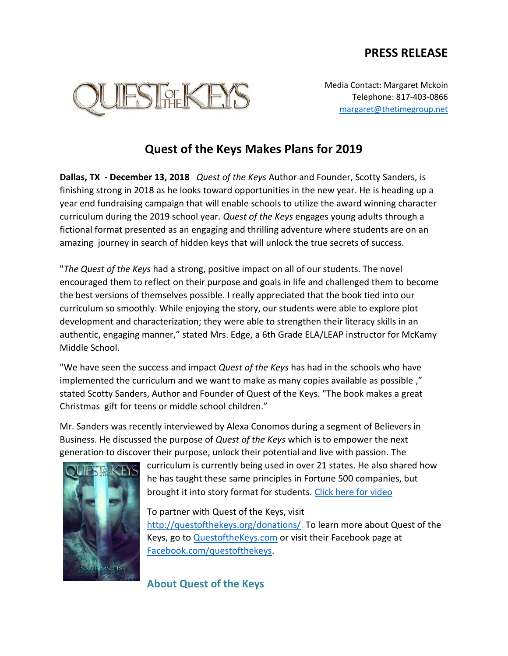## **PRESS RELEASE**



Media Contact: Margaret Mckoin Telephone: 817-403-0866 [margaret@thetimegroup.net](mailto:margaret@thetimegroup.net)

## **Quest of the Keys Makes Plans for 2019**

**Dallas, TX - December 13, 2018** *Quest of the Keys* Author and Founder, Scotty Sanders, is finishing strong in 2018 as he looks toward opportunities in the new year. He is heading up a year end fundraising campaign that will enable schools to utilize the award winning character curriculum during the 2019 school year*. Quest of the Keys* engages young adults through a fictional format presented as an engaging and thrilling adventure where students are on an amazing journey in search of hidden keys that will unlock the true secrets of success.

"*The Quest of the Keys* had a strong, positive impact on all of our students. The novel encouraged them to reflect on their purpose and goals in life and challenged them to become the best versions of themselves possible. I really appreciated that the book tied into our curriculum so smoothly. While enjoying the story, our students were able to explore plot development and characterization; they were able to strengthen their literacy skills in an authentic, engaging manner," stated Mrs. Edge, a 6th Grade ELA/LEAP instructor for McKamy Middle School.

"We have seen the success and impact *Quest of the Keys* has had in the schools who have implemented the curriculum and we want to make as many copies available as possible ," stated Scotty Sanders, Author and Founder of Quest of the Keys. "The book makes a great Christmas gift for teens or middle school children."

Mr. Sanders was recently interviewed by Alexa Conomos during a segment of Believers in Business. He discussed the purpose of *Quest of the Keys* which is to empower the next generation to discover their purpose, unlock their potential and live with passion. The



curriculum is currently being used in over 21 states. He also shared how he has taught these same principles in Fortune 500 companies, but brought it into story format for students. [Click here for video](https://youtu.be/jEQs1PvQ_ps)

To partner with Quest of the Keys, visit [http://questofthekeys.org/donations/.](http://questofthekeys.org/donations/) To learn more about Quest of the Keys, go to [QuestoftheKeys.com](http://www.questofthekeys.com/) or visit their Facebook page at [Facebook.com/questofthekeys.](http://www.facebook.com/questofthekeys)

**About Quest of the Keys**